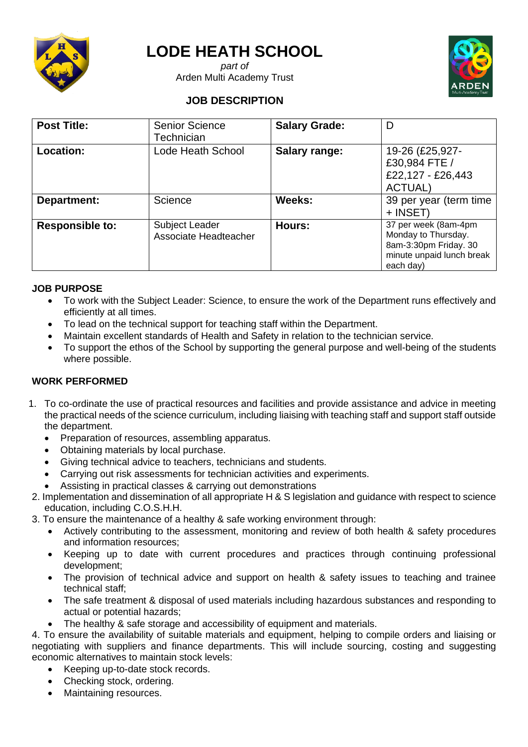

# **LODE HEATH SCHOOL**

*part of* Arden Multi Academy Trust



## **JOB DESCRIPTION**

| <b>Post Title:</b>     | <b>Senior Science</b><br>Technician     | <b>Salary Grade:</b> | D                                                                                                              |
|------------------------|-----------------------------------------|----------------------|----------------------------------------------------------------------------------------------------------------|
| <b>Location:</b>       | Lode Heath School                       | Salary range:        | 19-26 (£25,927-<br>£30,984 FTE /<br>£22,127 - £26,443<br><b>ACTUAL)</b>                                        |
| Department:            | Science                                 | Weeks:               | 39 per year (term time<br>+ INSET)                                                                             |
| <b>Responsible to:</b> | Subject Leader<br>Associate Headteacher | Hours:               | 37 per week (8am-4pm<br>Monday to Thursday.<br>8am-3:30pm Friday. 30<br>minute unpaid lunch break<br>each day) |

#### **JOB PURPOSE**

- To work with the Subject Leader: Science, to ensure the work of the Department runs effectively and efficiently at all times.
- To lead on the technical support for teaching staff within the Department.
- Maintain excellent standards of Health and Safety in relation to the technician service.
- To support the ethos of the School by supporting the general purpose and well-being of the students where possible.

#### **WORK PERFORMED**

- 1. To co-ordinate the use of practical resources and facilities and provide assistance and advice in meeting the practical needs of the science curriculum, including liaising with teaching staff and support staff outside the department.
	- Preparation of resources, assembling apparatus.
	- Obtaining materials by local purchase.
	- Giving technical advice to teachers, technicians and students.
	- Carrying out risk assessments for technician activities and experiments.
	- Assisting in practical classes & carrying out demonstrations
- 2. Implementation and dissemination of all appropriate H & S legislation and guidance with respect to science education, including C.O.S.H.H.
- 3. To ensure the maintenance of a healthy & safe working environment through:
	- Actively contributing to the assessment, monitoring and review of both health & safety procedures and information resources;
	- Keeping up to date with current procedures and practices through continuing professional development;
	- The provision of technical advice and support on health & safety issues to teaching and trainee technical staff;
	- The safe treatment & disposal of used materials including hazardous substances and responding to actual or potential hazards;
	- The healthy & safe storage and accessibility of equipment and materials.

4. To ensure the availability of suitable materials and equipment, helping to compile orders and liaising or negotiating with suppliers and finance departments. This will include sourcing, costing and suggesting economic alternatives to maintain stock levels:

- Keeping up-to-date stock records.
- Checking stock, ordering.
- Maintaining resources.